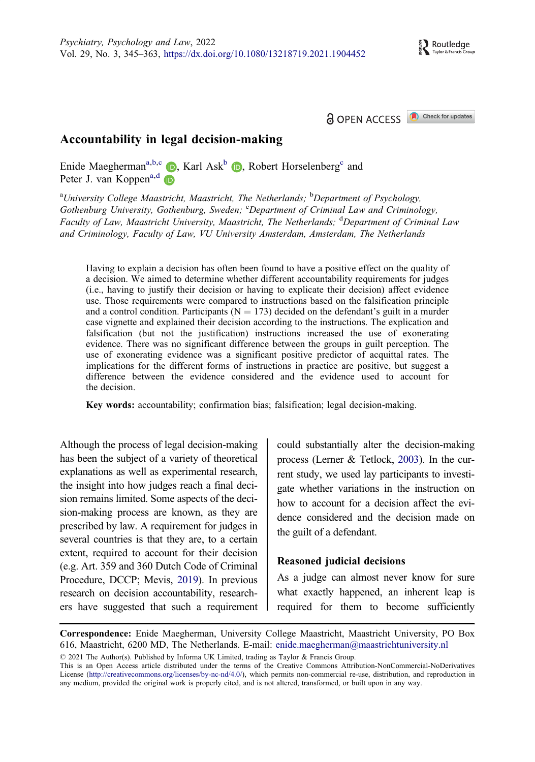a OPEN ACCESS Check for updates



# <span id="page-0-0"></span>Accountability in legal decision-making

Enide Maegherman<sup>a,b,c</sup>  $\bullet$ , Karl Ask<sup>b</sup>  $\bullet$ , Robert Horselenberg<sup>c</sup> and Peter J. van Koppen<sup>a,d</sup>

<sup>a</sup>University College Maastricht, Maastricht, The Netherlands; <sup>b</sup>Department of Psychology, Gothenburg University, Gothenburg, Sweden; CDepartment of Criminal Law and Criminology, Faculty of Law, Maastricht University, Maastricht, The Netherlands; <sup>d</sup>Department of Criminal Law and Criminology, Faculty of Law, VU University Amsterdam, Amsterdam, The Netherlands

Having to explain a decision has often been found to have a positive effect on the quality of a decision. We aimed to determine whether different accountability requirements for judges (i.e., having to justify their decision or having to explicate their decision) affect evidence use. Those requirements were compared to instructions based on the falsification principle and a control condition. Participants ( $N = 173$ ) decided on the defendant's guilt in a murder case vignette and explained their decision according to the instructions. The explication and falsification (but not the justification) instructions increased the use of exonerating evidence. There was no significant difference between the groups in guilt perception. The use of exonerating evidence was a significant positive predictor of acquittal rates. The implications for the different forms of instructions in practice are positive, but suggest a difference between the evidence considered and the evidence used to account for the decision.

Key words: accountability; confirmation bias; falsification; legal decision-making.

Although the process of legal decision-making has been the subject of a variety of theoretical explanations as well as experimental research, the insight into how judges reach a final decision remains limited. Some aspects of the decision-making process are known, as they are prescribed by law. A requirement for judges in several countries is that they are, to a certain extent, required to account for their decision (e.g. Art. 359 and 360 Dutch Code of Criminal Procedure, DCCP; Mevis, [2019\)](#page-15-0). In previous research on decision accountability, researchers have suggested that such a requirement

could substantially alter the decision-making process (Lerner & Tetlock, [2003](#page-15-0)). In the current study, we used lay participants to investigate whether variations in the instruction on how to account for a decision affect the evidence considered and the decision made on the guilt of a defendant.

### Reasoned judicial decisions

As a judge can almost never know for sure what exactly happened, an inherent leap is required for them to become sufficiently

Correspondence: Enide Maegherman, University College Maastricht, Maastricht University, PO Box 616, Maastricht, 6200 MD, The Netherlands. E-mail: enide.maegherman@maastrichtuniversity.nl

2021 The Author(s). Published by Informa UK Limited, trading as Taylor & Francis Group.

This is an Open Access article distributed under the terms of the Creative Commons Attribution-NonCommercial-NoDerivatives License [\(http://creativecommons.org/licenses/by-nc-nd/4.0/](http://creativecommons.org/licenses/by-nc-nd/4.0/)), which permits non-commercial re-use, distribution, and reproduction in any medium, provided the original work is properly cited, and is not altered, transformed, or built upon in any way.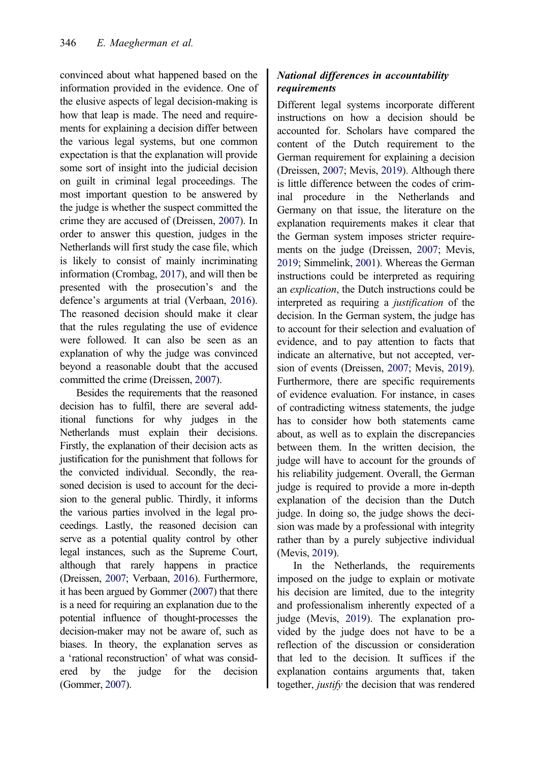<span id="page-1-0"></span>convinced about what happened based on the information provided in the evidence. One of the elusive aspects of legal decision-making is how that leap is made. The need and requirements for explaining a decision differ between the various legal systems, but one common expectation is that the explanation will provide some sort of insight into the judicial decision on guilt in criminal legal proceedings. The most important question to be answered by the judge is whether the suspect committed the crime they are accused of (Dreissen, [2007\)](#page-15-0). In order to answer this question, judges in the Netherlands will first study the case file, which is likely to consist of mainly incriminating information (Crombag, [2017](#page-14-0)), and will then be presented with the prosecution's and the defence's arguments at trial (Verbaan, [2016](#page-16-0)). The reasoned decision should make it clear that the rules regulating the use of evidence were followed. It can also be seen as an explanation of why the judge was convinced beyond a reasonable doubt that the accused committed the crime (Dreissen, [2007](#page-15-0)).

Besides the requirements that the reasoned decision has to fulfil, there are several additional functions for why judges in the Netherlands must explain their decisions. Firstly, the explanation of their decision acts as justification for the punishment that follows for the convicted individual. Secondly, the reasoned decision is used to account for the decision to the general public. Thirdly, it informs the various parties involved in the legal proceedings. Lastly, the reasoned decision can serve as a potential quality control by other legal instances, such as the Supreme Court, although that rarely happens in practice (Dreissen, [2007](#page-15-0); Verbaan, [2016](#page-16-0)). Furthermore, it has been argued by Gommer [\(2007\)](#page-15-0) that there is a need for requiring an explanation due to the potential influence of thought-processes the decision-maker may not be aware of, such as biases. In theory, the explanation serves as a 'rational reconstruction' of what was considered by the judge for the decision (Gommer, [2007](#page-15-0)).

# National differences in accountability requirements

Different legal systems incorporate different instructions on how a decision should be accounted for. Scholars have compared the content of the Dutch requirement to the German requirement for explaining a decision (Dreissen, [2007;](#page-15-0) Mevis, [2019](#page-15-0)). Although there is little difference between the codes of criminal procedure in the Netherlands and Germany on that issue, the literature on the explanation requirements makes it clear that the German system imposes stricter requirements on the judge (Dreissen, [2007;](#page-15-0) Mevis, [2019;](#page-15-0) Simmelink, [2001](#page-16-0)). Whereas the German instructions could be interpreted as requiring an explication, the Dutch instructions could be interpreted as requiring a justification of the decision. In the German system, the judge has to account for their selection and evaluation of evidence, and to pay attention to facts that indicate an alternative, but not accepted, version of events (Dreissen, [2007;](#page-15-0) Mevis, [2019](#page-15-0)). Furthermore, there are specific requirements of evidence evaluation. For instance, in cases of contradicting witness statements, the judge has to consider how both statements came about, as well as to explain the discrepancies between them. In the written decision, the judge will have to account for the grounds of his reliability judgement. Overall, the German judge is required to provide a more in-depth explanation of the decision than the Dutch judge. In doing so, the judge shows the decision was made by a professional with integrity rather than by a purely subjective individual (Mevis, [2019](#page-15-0)).

In the Netherlands, the requirements imposed on the judge to explain or motivate his decision are limited, due to the integrity and professionalism inherently expected of a judge (Mevis, [2019](#page-15-0)). The explanation provided by the judge does not have to be a reflection of the discussion or consideration that led to the decision. It suffices if the explanation contains arguments that, taken together, justify the decision that was rendered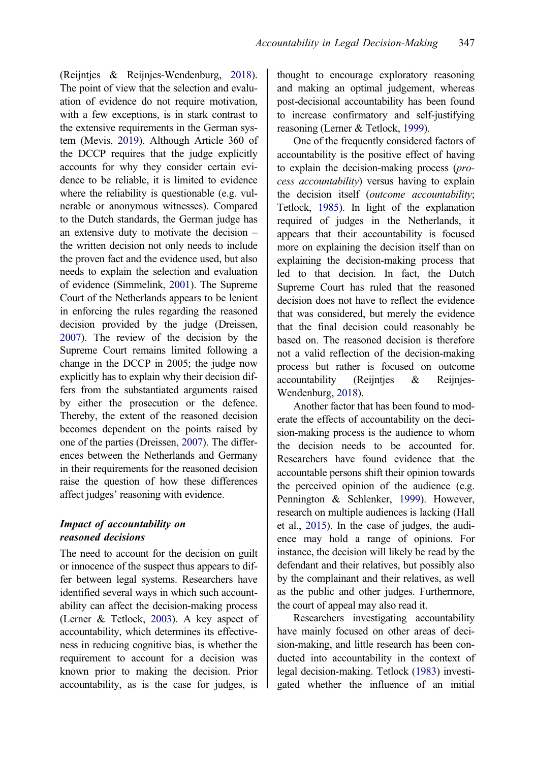<span id="page-2-0"></span>(Reijntjes & Reijnjes-Wendenburg, [2018](#page-15-0)). The point of view that the selection and evaluation of evidence do not require motivation, with a few exceptions, is in stark contrast to the extensive requirements in the German system (Mevis, [2019](#page-15-0)). Although Article 360 of the DCCP requires that the judge explicitly accounts for why they consider certain evidence to be reliable, it is limited to evidence where the reliability is questionable (e.g. vulnerable or anonymous witnesses). Compared to the Dutch standards, the German judge has an extensive duty to motivate the decision – the written decision not only needs to include the proven fact and the evidence used, but also needs to explain the selection and evaluation of evidence (Simmelink, [2001\)](#page-16-0). The Supreme Court of the Netherlands appears to be lenient in enforcing the rules regarding the reasoned decision provided by the judge (Dreissen, [2007\)](#page-15-0). The review of the decision by the Supreme Court remains limited following a change in the DCCP in 2005; the judge now explicitly has to explain why their decision differs from the substantiated arguments raised by either the prosecution or the defence. Thereby, the extent of the reasoned decision becomes dependent on the points raised by one of the parties (Dreissen, [2007\)](#page-15-0). The differences between the Netherlands and Germany in their requirements for the reasoned decision raise the question of how these differences affect judges' reasoning with evidence.

### Impact of accountability on reasoned decisions

The need to account for the decision on guilt or innocence of the suspect thus appears to differ between legal systems. Researchers have identified several ways in which such accountability can affect the decision-making process (Lerner & Tetlock, [2003\)](#page-15-0). A key aspect of accountability, which determines its effectiveness in reducing cognitive bias, is whether the requirement to account for a decision was known prior to making the decision. Prior accountability, as is the case for judges, is

thought to encourage exploratory reasoning and making an optimal judgement, whereas post-decisional accountability has been found to increase confirmatory and self-justifying reasoning (Lerner & Tetlock, [1999](#page-15-0)).

One of the frequently considered factors of accountability is the positive effect of having to explain the decision-making process (process accountability) versus having to explain the decision itself (outcome accountability; Tetlock, [1985\)](#page-16-0). In light of the explanation required of judges in the Netherlands, it appears that their accountability is focused more on explaining the decision itself than on explaining the decision-making process that led to that decision. In fact, the Dutch Supreme Court has ruled that the reasoned decision does not have to reflect the evidence that was considered, but merely the evidence that the final decision could reasonably be based on. The reasoned decision is therefore not a valid reflection of the decision-making process but rather is focused on outcome accountability (Reijntjes & Reijnjes-Wendenburg, [2018\)](#page-15-0).

Another factor that has been found to moderate the effects of accountability on the decision-making process is the audience to whom the decision needs to be accounted for. Researchers have found evidence that the accountable persons shift their opinion towards the perceived opinion of the audience (e.g. Pennington & Schlenker, [1999\)](#page-15-0). However, research on multiple audiences is lacking (Hall et al., [2015](#page-15-0)). In the case of judges, the audience may hold a range of opinions. For instance, the decision will likely be read by the defendant and their relatives, but possibly also by the complainant and their relatives, as well as the public and other judges. Furthermore, the court of appeal may also read it.

Researchers investigating accountability have mainly focused on other areas of decision-making, and little research has been conducted into accountability in the context of legal decision-making. Tetlock [\(1983\)](#page-16-0) investigated whether the influence of an initial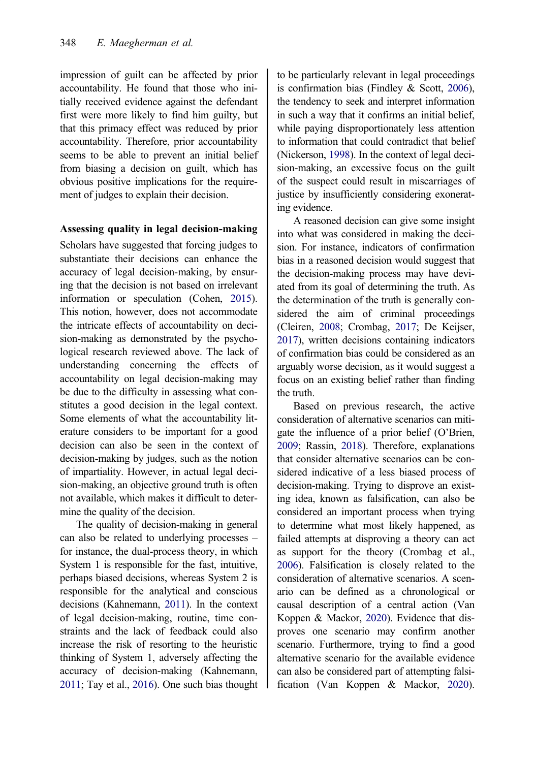<span id="page-3-0"></span>impression of guilt can be affected by prior accountability. He found that those who initially received evidence against the defendant first were more likely to find him guilty, but that this primacy effect was reduced by prior accountability. Therefore, prior accountability seems to be able to prevent an initial belief from biasing a decision on guilt, which has obvious positive implications for the requirement of judges to explain their decision.

## Assessing quality in legal decision-making

Scholars have suggested that forcing judges to substantiate their decisions can enhance the accuracy of legal decision-making, by ensuring that the decision is not based on irrelevant information or speculation (Cohen, [2015](#page-14-0)). This notion, however, does not accommodate the intricate effects of accountability on decision-making as demonstrated by the psychological research reviewed above. The lack of understanding concerning the effects of accountability on legal decision-making may be due to the difficulty in assessing what constitutes a good decision in the legal context. Some elements of what the accountability literature considers to be important for a good decision can also be seen in the context of decision-making by judges, such as the notion of impartiality. However, in actual legal decision-making, an objective ground truth is often not available, which makes it difficult to determine the quality of the decision.

The quality of decision-making in general can also be related to underlying processes – for instance, the dual-process theory, in which System 1 is responsible for the fast, intuitive, perhaps biased decisions, whereas System 2 is responsible for the analytical and conscious decisions (Kahnemann, [2011](#page-15-0)). In the context of legal decision-making, routine, time constraints and the lack of feedback could also increase the risk of resorting to the heuristic thinking of System 1, adversely affecting the accuracy of decision-making (Kahnemann, [2011;](#page-15-0) Tay et al., [2016\)](#page-16-0). One such bias thought to be particularly relevant in legal proceedings is confirmation bias (Findley & Scott, [2006](#page-15-0)), the tendency to seek and interpret information in such a way that it confirms an initial belief, while paying disproportionately less attention to information that could contradict that belief (Nickerson, [1998\)](#page-15-0). In the context of legal decision-making, an excessive focus on the guilt of the suspect could result in miscarriages of justice by insufficiently considering exonerating evidence.

A reasoned decision can give some insight into what was considered in making the decision. For instance, indicators of confirmation bias in a reasoned decision would suggest that the decision-making process may have deviated from its goal of determining the truth. As the determination of the truth is generally considered the aim of criminal proceedings (Cleiren, [2008;](#page-14-0) Crombag, [2017;](#page-14-0) De Keijser, [2017\)](#page-15-0), written decisions containing indicators of confirmation bias could be considered as an arguably worse decision, as it would suggest a focus on an existing belief rather than finding the truth.

Based on previous research, the active consideration of alternative scenarios can mitigate the influence of a prior belief (O'Brien, [2009;](#page-15-0) Rassin, [2018](#page-15-0)). Therefore, explanations that consider alternative scenarios can be considered indicative of a less biased process of decision-making. Trying to disprove an existing idea, known as falsification, can also be considered an important process when trying to determine what most likely happened, as failed attempts at disproving a theory can act as support for the theory (Crombag et al., [2006\)](#page-15-0). Falsification is closely related to the consideration of alternative scenarios. A scenario can be defined as a chronological or causal description of a central action (Van Koppen & Mackor, [2020\)](#page-16-0). Evidence that disproves one scenario may confirm another scenario. Furthermore, trying to find a good alternative scenario for the available evidence can also be considered part of attempting falsification (Van Koppen & Mackor, [2020](#page-16-0)).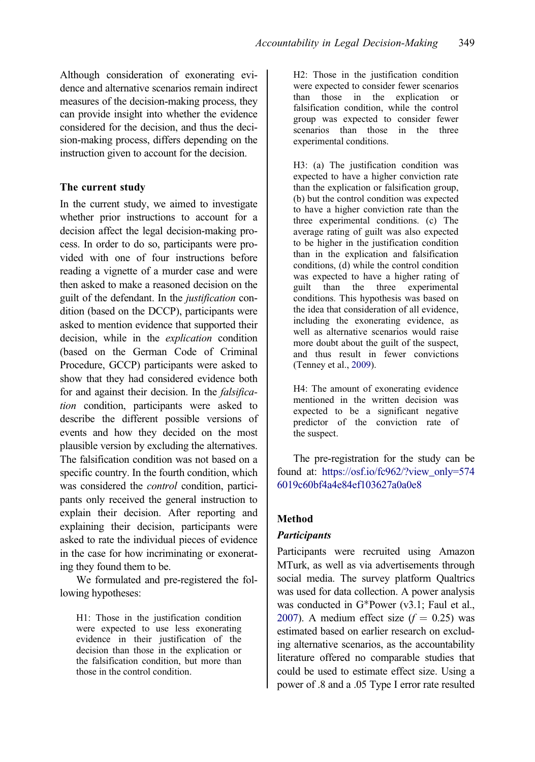<span id="page-4-0"></span>Although consideration of exonerating evidence and alternative scenarios remain indirect measures of the decision-making process, they can provide insight into whether the evidence considered for the decision, and thus the decision-making process, differs depending on the instruction given to account for the decision.

## The current study

In the current study, we aimed to investigate whether prior instructions to account for a decision affect the legal decision-making process. In order to do so, participants were provided with one of four instructions before reading a vignette of a murder case and were then asked to make a reasoned decision on the guilt of the defendant. In the justification condition (based on the DCCP), participants were asked to mention evidence that supported their decision, while in the explication condition (based on the German Code of Criminal Procedure, GCCP) participants were asked to show that they had considered evidence both for and against their decision. In the *falsifica*tion condition, participants were asked to describe the different possible versions of events and how they decided on the most plausible version by excluding the alternatives. The falsification condition was not based on a specific country. In the fourth condition, which was considered the *control* condition, participants only received the general instruction to explain their decision. After reporting and explaining their decision, participants were asked to rate the individual pieces of evidence in the case for how incriminating or exonerating they found them to be.

We formulated and pre-registered the following hypotheses:

H1: Those in the justification condition were expected to use less exonerating evidence in their justification of the decision than those in the explication or the falsification condition, but more than those in the control condition.

H2: Those in the justification condition were expected to consider fewer scenarios than those in the explication or falsification condition, while the control group was expected to consider fewer scenarios than those in the three experimental conditions.

H3: (a) The justification condition was expected to have a higher conviction rate than the explication or falsification group, (b) but the control condition was expected to have a higher conviction rate than the three experimental conditions. (c) The average rating of guilt was also expected to be higher in the justification condition than in the explication and falsification conditions, (d) while the control condition was expected to have a higher rating of guilt than the three experimental conditions. This hypothesis was based on the idea that consideration of all evidence, including the exonerating evidence, as well as alternative scenarios would raise more doubt about the guilt of the suspect, and thus result in fewer convictions (Tenney et al., [2009](#page-16-0)).

H4: The amount of exonerating evidence mentioned in the written decision was expected to be a significant negative predictor of the conviction rate of the suspect.

The pre-registration for the study can be found at: [https://osf.io/fc962/?view\\_only=574](https://osf.io/fc962/?view_only=5746019c60bf4a4e84ef103627a0a0e8) [6019c60bf4a4e84ef103627a0a0e8](https://osf.io/fc962/?view_only=5746019c60bf4a4e84ef103627a0a0e8)

# Method

# **Participants**

Participants were recruited using Amazon MTurk, as well as via advertisements through social media. The survey platform Qualtrics was used for data collection. A power analysis was conducted in  $G^*$ Power (v3.1; Faul et al., [2007\)](#page-15-0). A medium effect size  $(f = 0.25)$  was estimated based on earlier research on excluding alternative scenarios, as the accountability literature offered no comparable studies that could be used to estimate effect size. Using a power of .8 and a .05 Type I error rate resulted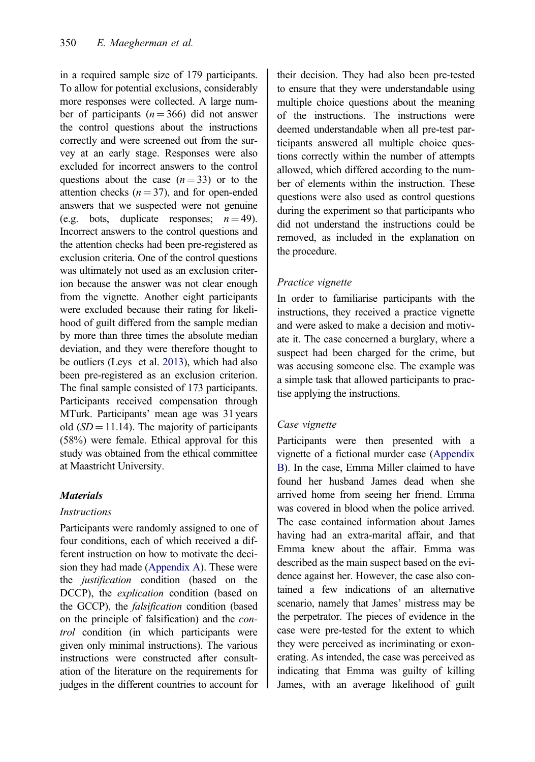<span id="page-5-0"></span>in a required sample size of 179 participants. To allow for potential exclusions, considerably more responses were collected. A large number of participants  $(n = 366)$  did not answer the control questions about the instructions correctly and were screened out from the survey at an early stage. Responses were also excluded for incorrect answers to the control questions about the case  $(n=33)$  or to the attention checks  $(n = 37)$ , and for open-ended answers that we suspected were not genuine (e.g. bots, duplicate responses;  $n = 49$ ). Incorrect answers to the control questions and the attention checks had been pre-registered as exclusion criteria. One of the control questions was ultimately not used as an exclusion criterion because the answer was not clear enough from the vignette. Another eight participants were excluded because their rating for likelihood of guilt differed from the sample median by more than three times the absolute median deviation, and they were therefore thought to be outliers (Leys et al. [2013\)](#page-15-0), which had also been pre-registered as an exclusion criterion. The final sample consisted of 173 participants. Participants received compensation through MTurk. Participants' mean age was 31 years old  $(SD = 11.14)$ . The majority of participants (58%) were female. Ethical approval for this study was obtained from the ethical committee at Maastricht University.

# **Materials**

## **Instructions**

Participants were randomly assigned to one of four conditions, each of which received a different instruction on how to motivate the decision they had made ([Appendix A\)](#page-16-0). These were the justification condition (based on the DCCP), the explication condition (based on the GCCP), the falsification condition (based on the principle of falsification) and the control condition (in which participants were given only minimal instructions). The various instructions were constructed after consultation of the literature on the requirements for judges in the different countries to account for

their decision. They had also been pre-tested to ensure that they were understandable using multiple choice questions about the meaning of the instructions. The instructions were deemed understandable when all pre-test participants answered all multiple choice questions correctly within the number of attempts allowed, which differed according to the number of elements within the instruction. These questions were also used as control questions during the experiment so that participants who did not understand the instructions could be removed, as included in the explanation on the procedure.

## Practice vignette

In order to familiarise participants with the instructions, they received a practice vignette and were asked to make a decision and motivate it. The case concerned a burglary, where a suspect had been charged for the crime, but was accusing someone else. The example was a simple task that allowed participants to practise applying the instructions.

# Case vignette

Participants were then presented with a vignette of a fictional murder case ([Appendix](#page-16-0) [B](#page-16-0)). In the case, Emma Miller claimed to have found her husband James dead when she arrived home from seeing her friend. Emma was covered in blood when the police arrived. The case contained information about James having had an extra-marital affair, and that Emma knew about the affair. Emma was described as the main suspect based on the evidence against her. However, the case also contained a few indications of an alternative scenario, namely that James' mistress may be the perpetrator. The pieces of evidence in the case were pre-tested for the extent to which they were perceived as incriminating or exonerating. As intended, the case was perceived as indicating that Emma was guilty of killing James, with an average likelihood of guilt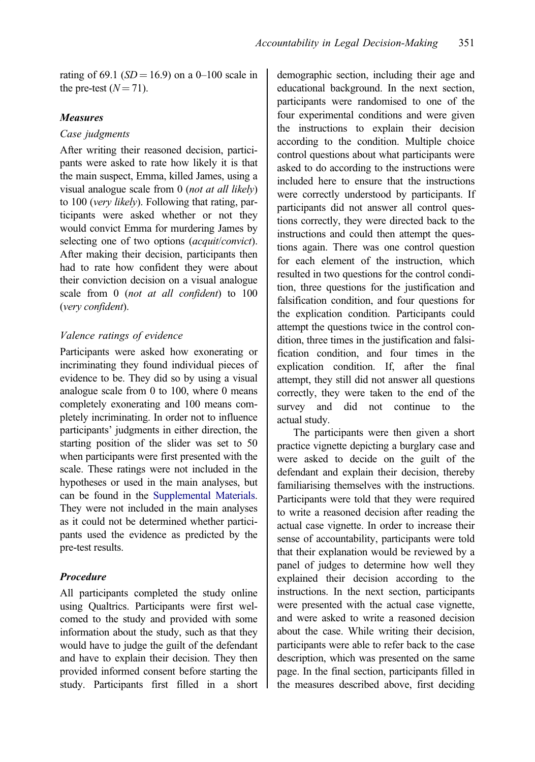rating of 69.1 ( $SD = 16.9$ ) on a 0–100 scale in the pre-test  $(N = 71)$ .

### Measures

### Case judgments

After writing their reasoned decision, participants were asked to rate how likely it is that the main suspect, Emma, killed James, using a visual analogue scale from 0 (not at all likely) to 100 (very likely). Following that rating, participants were asked whether or not they would convict Emma for murdering James by selecting one of two options (acquit/convict). After making their decision, participants then had to rate how confident they were about their conviction decision on a visual analogue scale from 0 (not at all confident) to 100 (very confident).

## Valence ratings of evidence

Participants were asked how exonerating or incriminating they found individual pieces of evidence to be. They did so by using a visual analogue scale from 0 to 100, where 0 means completely exonerating and 100 means completely incriminating. In order not to influence participants' judgments in either direction, the starting position of the slider was set to 50 when participants were first presented with the scale. These ratings were not included in the hypotheses or used in the main analyses, but can be found in the [Supplemental Materials](https://dx.doi.org/10.1080/13218719.2021.1904452). They were not included in the main analyses as it could not be determined whether participants used the evidence as predicted by the pre-test results.

## Procedure

All participants completed the study online using Qualtrics. Participants were first welcomed to the study and provided with some information about the study, such as that they would have to judge the guilt of the defendant and have to explain their decision. They then provided informed consent before starting the study. Participants first filled in a short demographic section, including their age and educational background. In the next section, participants were randomised to one of the four experimental conditions and were given the instructions to explain their decision according to the condition. Multiple choice control questions about what participants were asked to do according to the instructions were included here to ensure that the instructions were correctly understood by participants. If participants did not answer all control questions correctly, they were directed back to the instructions and could then attempt the questions again. There was one control question for each element of the instruction, which resulted in two questions for the control condition, three questions for the justification and falsification condition, and four questions for the explication condition. Participants could attempt the questions twice in the control condition, three times in the justification and falsification condition, and four times in the explication condition. If, after the final attempt, they still did not answer all questions correctly, they were taken to the end of the survey and did not continue to the actual study.

The participants were then given a short practice vignette depicting a burglary case and were asked to decide on the guilt of the defendant and explain their decision, thereby familiarising themselves with the instructions. Participants were told that they were required to write a reasoned decision after reading the actual case vignette. In order to increase their sense of accountability, participants were told that their explanation would be reviewed by a panel of judges to determine how well they explained their decision according to the instructions. In the next section, participants were presented with the actual case vignette, and were asked to write a reasoned decision about the case. While writing their decision, participants were able to refer back to the case description, which was presented on the same page. In the final section, participants filled in the measures described above, first deciding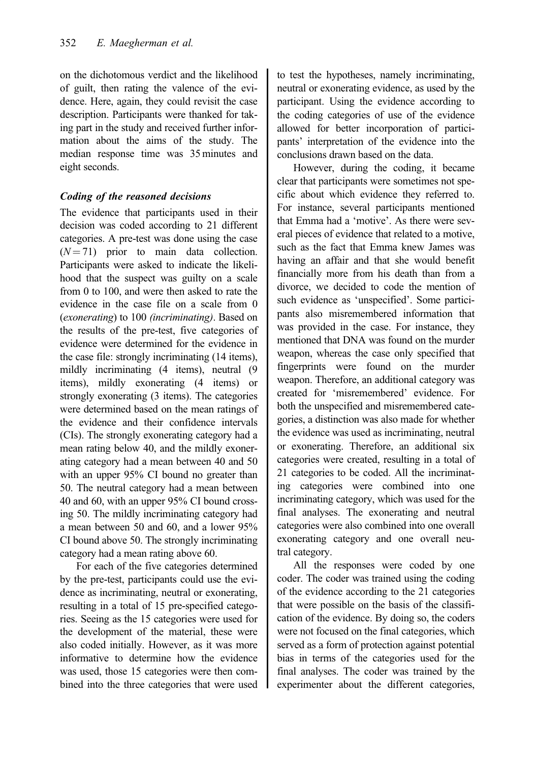on the dichotomous verdict and the likelihood of guilt, then rating the valence of the evidence. Here, again, they could revisit the case description. Participants were thanked for taking part in the study and received further information about the aims of the study. The median response time was 35 minutes and eight seconds.

# Coding of the reasoned decisions

The evidence that participants used in their decision was coded according to 21 different categories. A pre-test was done using the case  $(N = 71)$  prior to main data collection. Participants were asked to indicate the likelihood that the suspect was guilty on a scale from 0 to 100, and were then asked to rate the evidence in the case file on a scale from 0 (exonerating) to 100 (incriminating). Based on the results of the pre-test, five categories of evidence were determined for the evidence in the case file: strongly incriminating (14 items), mildly incriminating (4 items), neutral (9 items), mildly exonerating (4 items) or strongly exonerating (3 items). The categories were determined based on the mean ratings of the evidence and their confidence intervals (CIs). The strongly exonerating category had a mean rating below 40, and the mildly exonerating category had a mean between 40 and 50 with an upper 95% CI bound no greater than 50. The neutral category had a mean between 40 and 60, with an upper 95% CI bound crossing 50. The mildly incriminating category had a mean between 50 and 60, and a lower 95% CI bound above 50. The strongly incriminating category had a mean rating above 60.

For each of the five categories determined by the pre-test, participants could use the evidence as incriminating, neutral or exonerating, resulting in a total of 15 pre-specified categories. Seeing as the 15 categories were used for the development of the material, these were also coded initially. However, as it was more informative to determine how the evidence was used, those 15 categories were then combined into the three categories that were used

to test the hypotheses, namely incriminating, neutral or exonerating evidence, as used by the participant. Using the evidence according to the coding categories of use of the evidence allowed for better incorporation of participants' interpretation of the evidence into the conclusions drawn based on the data.

However, during the coding, it became clear that participants were sometimes not specific about which evidence they referred to. For instance, several participants mentioned that Emma had a 'motive'. As there were several pieces of evidence that related to a motive, such as the fact that Emma knew James was having an affair and that she would benefit financially more from his death than from a divorce, we decided to code the mention of such evidence as 'unspecified'. Some participants also misremembered information that was provided in the case. For instance, they mentioned that DNA was found on the murder weapon, whereas the case only specified that fingerprints were found on the murder weapon. Therefore, an additional category was created for 'misremembered' evidence. For both the unspecified and misremembered categories, a distinction was also made for whether the evidence was used as incriminating, neutral or exonerating. Therefore, an additional six categories were created, resulting in a total of 21 categories to be coded. All the incriminating categories were combined into one incriminating category, which was used for the final analyses. The exonerating and neutral categories were also combined into one overall exonerating category and one overall neutral category.

All the responses were coded by one coder. The coder was trained using the coding of the evidence according to the 21 categories that were possible on the basis of the classification of the evidence. By doing so, the coders were not focused on the final categories, which served as a form of protection against potential bias in terms of the categories used for the final analyses. The coder was trained by the experimenter about the different categories,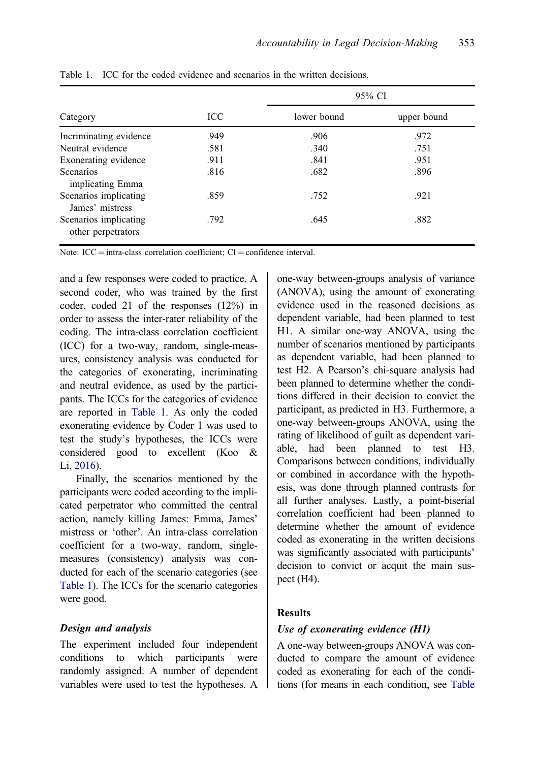|                                             |      | 95% CI      |             |  |
|---------------------------------------------|------|-------------|-------------|--|
| Category                                    | ICC  | lower bound | upper bound |  |
| Incriminating evidence                      | .949 | .906        | .972        |  |
| Neutral evidence                            | .581 | .340        | .751        |  |
| Exonerating evidence                        | .911 | .841        | .951        |  |
| <b>Scenarios</b><br>implicating Emma        | .816 | .682        | .896        |  |
| Scenarios implicating<br>James' mistress    | .859 | .752        | .921        |  |
| Scenarios implicating<br>other perpetrators | .792 | .645        | .882        |  |

<span id="page-8-0"></span>Table 1. ICC for the coded evidence and scenarios in the written decisions.

Note:  $ICC = intra-class correlation coefficient: CI = confidence interval.$ 

and a few responses were coded to practice. A second coder, who was trained by the first coder, coded 21 of the responses (12%) in order to assess the inter-rater reliability of the coding. The intra-class correlation coefficient (ICC) for a two-way, random, single-measures, consistency analysis was conducted for the categories of exonerating, incriminating and neutral evidence, as used by the participants. The ICCs for the categories of evidence are reported in Table 1. As only the coded exonerating evidence by Coder 1 was used to test the study's hypotheses, the ICCs were considered good to excellent (Koo & Li, [2016](#page-15-0)).

Finally, the scenarios mentioned by the participants were coded according to the implicated perpetrator who committed the central action, namely killing James: Emma, James' mistress or 'other'. An intra-class correlation coefficient for a two-way, random, singlemeasures (consistency) analysis was conducted for each of the scenario categories (see Table 1). The ICCs for the scenario categories were good.

### Design and analysis

The experiment included four independent conditions to which participants were randomly assigned. A number of dependent variables were used to test the hypotheses. A one-way between-groups analysis of variance (ANOVA), using the amount of exonerating evidence used in the reasoned decisions as dependent variable, had been planned to test H1. A similar one-way ANOVA, using the number of scenarios mentioned by participants as dependent variable, had been planned to test H2. A Pearson's chi-square analysis had been planned to determine whether the conditions differed in their decision to convict the participant, as predicted in H3. Furthermore, a one-way between-groups ANOVA, using the rating of likelihood of guilt as dependent variable, had been planned to test H3. Comparisons between conditions, individually or combined in accordance with the hypothesis, was done through planned contrasts for all further analyses. Lastly, a point-biserial correlation coefficient had been planned to determine whether the amount of evidence coded as exonerating in the written decisions was significantly associated with participants' decision to convict or acquit the main suspect (H4).

## Results

## Use of exonerating evidence (H1)

A one-way between-groups ANOVA was conducted to compare the amount of evidence coded as exonerating for each of the conditions (for means in each condition, see [Table](#page-9-0)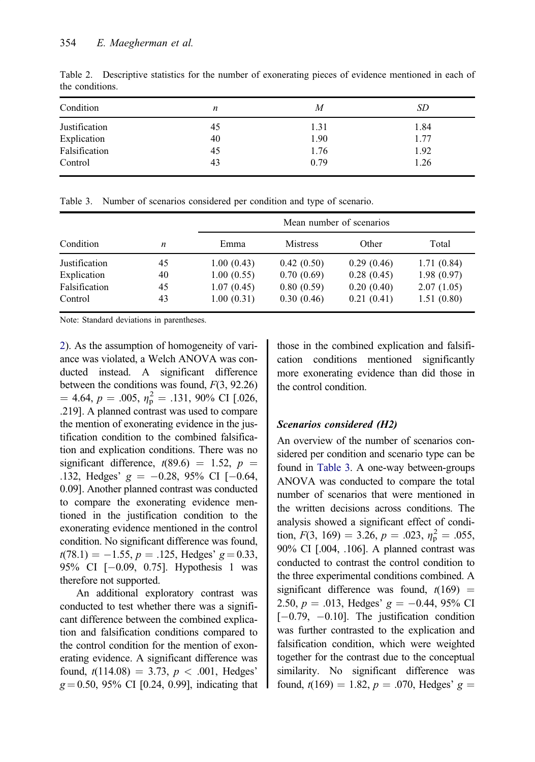| Condition     | n  | М    | SD   |
|---------------|----|------|------|
| Justification | 45 | 1.31 | 1.84 |
| Explication   | 40 | 1.90 | 1.77 |
| Falsification | 45 | 1.76 | 1.92 |
| Control       | 43 | 0.79 | 1.26 |

<span id="page-9-0"></span>Table 2. Descriptive statistics for the number of exonerating pieces of evidence mentioned in each of the conditions.

| Table 3. Number of scenarios considered per condition and type of scenario. |  |
|-----------------------------------------------------------------------------|--|
|-----------------------------------------------------------------------------|--|

|               |    |            |                 | Mean number of scenarios |            |
|---------------|----|------------|-----------------|--------------------------|------------|
| Condition     | n  | Emma       | <b>Mistress</b> | Other                    | Total      |
| Justification | 45 | 1.00(0.43) | 0.42(0.50)      | 0.29(0.46)               | 1.71(0.84) |
| Explication   | 40 | 1.00(0.55) | 0.70(0.69)      | 0.28(0.45)               | 1.98(0.97) |
| Falsification | 45 | 1.07(0.45) | 0.80(0.59)      | 0.20(0.40)               | 2.07(1.05) |
| Control       | 43 | 1.00(0.31) | 0.30(0.46)      | 0.21(0.41)               | 1.51(0.80) |

Note: Standard deviations in parentheses.

2). As the assumption of homogeneity of variance was violated, a Welch ANOVA was conducted instead. A significant difference between the conditions was found,  $F(3, 92.26)$  $= 4.64, p = .005, \eta_{\rm p}^2 = .131, 90\% \text{ CI}$  [.026, 219] A planned contrast was used to compare .219]. A planned contrast was used to compare the mention of exonerating evidence in the justification condition to the combined falsification and explication conditions. There was no significant difference,  $t(89.6) = 1.52$ ,  $p =$ .132, Hedges'  $g = -0.28$ , 95% CI [-0.64, 0.09]. Another planned contrast was conducted to compare the exonerating evidence mentioned in the justification condition to the exonerating evidence mentioned in the control condition. No significant difference was found,  $t(78.1) = -1.55$ ,  $p = .125$ , Hedges'  $g = 0.33$ , 95% CI [-0.09, 0.75]. Hypothesis 1 was therefore not supported.

An additional exploratory contrast was conducted to test whether there was a significant difference between the combined explication and falsification conditions compared to the control condition for the mention of exonerating evidence. A significant difference was found,  $t(114.08) = 3.73$ ,  $p < .001$ , Hedges'  $g = 0.50, 95\%$  CI [0.24, 0.99], indicating that those in the combined explication and falsification conditions mentioned significantly more exonerating evidence than did those in the control condition.

## Scenarios considered (H2)

An overview of the number of scenarios considered per condition and scenario type can be found in Table 3. A one-way between-groups ANOVA was conducted to compare the total number of scenarios that were mentioned in the written decisions across conditions. The analysis showed a significant effect of condition,  $F(3, 169) = 3.26$ ,  $p = .023$ ,  $\eta_p^2 = .055$ ,<br>90% CLL004, 1061. A planned contrast was 90% CI [.004, .106]. A planned contrast was conducted to contrast the control condition to the three experimental conditions combined. A significant difference was found,  $t(169)$  = 2.50,  $p = .013$ , Hedges'  $g = -0.44$ , 95% CI  $[-0.79, -0.10]$ . The justification condition was further contrasted to the explication and falsification condition, which were weighted together for the contrast due to the conceptual similarity. No significant difference was found,  $t(169) = 1.82$ ,  $p = .070$ , Hedges'  $g =$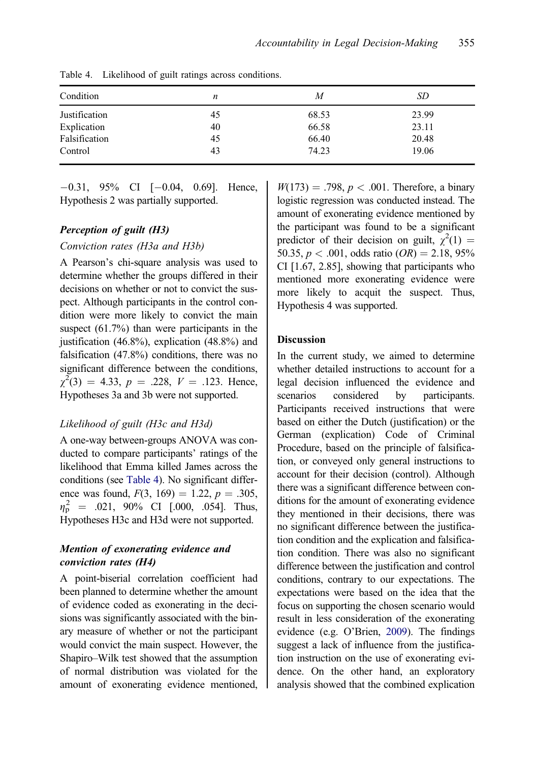| Condition     | n  | M     | SD    |
|---------------|----|-------|-------|
| Justification | 45 | 68.53 | 23.99 |
| Explication   | 40 | 66.58 | 23.11 |
| Falsification | 45 | 66.40 | 20.48 |
| Control       | 43 | 74.23 | 19.06 |

Table 4. Likelihood of guilt ratings across conditions.

 $-0.31$ ,  $95\%$  CI  $[-0.04, 0.69]$ . Hence, Hypothesis 2 was partially supported.

### Perception of guilt (H3)

#### Conviction rates (H3a and H3b)

A Pearson's chi-square analysis was used to determine whether the groups differed in their decisions on whether or not to convict the suspect. Although participants in the control condition were more likely to convict the main suspect  $(61.7%)$  than were participants in the justification (46.8%), explication (48.8%) and falsification (47.8%) conditions, there was no significant difference between the conditions,  $\chi^2(3) = 4.33$ ,  $p = .228$ ,  $V = .123$ . Hence,<br>Hypotheses 3a and 3b were not supported Hypotheses 3a and 3b were not supported.

#### Likelihood of guilt (H3c and H3d)

A one-way between-groups ANOVA was conducted to compare participants' ratings of the likelihood that Emma killed James across the conditions (see Table 4). No significant difference was found,  $F(3, 169) = 1.22, p = .305,$  $\eta_{\rm p}^2$  = .021, 90% CI [.000, .054]. Thus,<br>Hypotheses H3c and H3d were not supported Hypotheses H3c and H3d were not supported.

# Mention of exonerating evidence and conviction rates (H4)

A point-biserial correlation coefficient had been planned to determine whether the amount of evidence coded as exonerating in the decisions was significantly associated with the binary measure of whether or not the participant would convict the main suspect. However, the Shapiro–Wilk test showed that the assumption of normal distribution was violated for the amount of exonerating evidence mentioned,

 $W(173) = .798, p < .001$ . Therefore, a binary logistic regression was conducted instead. The amount of exonerating evidence mentioned by the participant was found to be a significant predictor of their decision on guilt,  $\chi^2(1) = 50.35$   $p < 0.01$  odds ratio  $(PB) = 2.18$  95% 50.35,  $p < .001$ , odds ratio (*OR*) = 2.18, 95% CI [1.67, 2.85], showing that participants who mentioned more exonerating evidence were more likely to acquit the suspect. Thus, Hypothesis 4 was supported.

#### Discussion

In the current study, we aimed to determine whether detailed instructions to account for a legal decision influenced the evidence and scenarios considered by participants. Participants received instructions that were based on either the Dutch (justification) or the German (explication) Code of Criminal Procedure, based on the principle of falsification, or conveyed only general instructions to account for their decision (control). Although there was a significant difference between conditions for the amount of exonerating evidence they mentioned in their decisions, there was no significant difference between the justification condition and the explication and falsification condition. There was also no significant difference between the justification and control conditions, contrary to our expectations. The expectations were based on the idea that the focus on supporting the chosen scenario would result in less consideration of the exonerating evidence (e.g. O'Brien, [2009\)](#page-15-0). The findings suggest a lack of influence from the justification instruction on the use of exonerating evidence. On the other hand, an exploratory analysis showed that the combined explication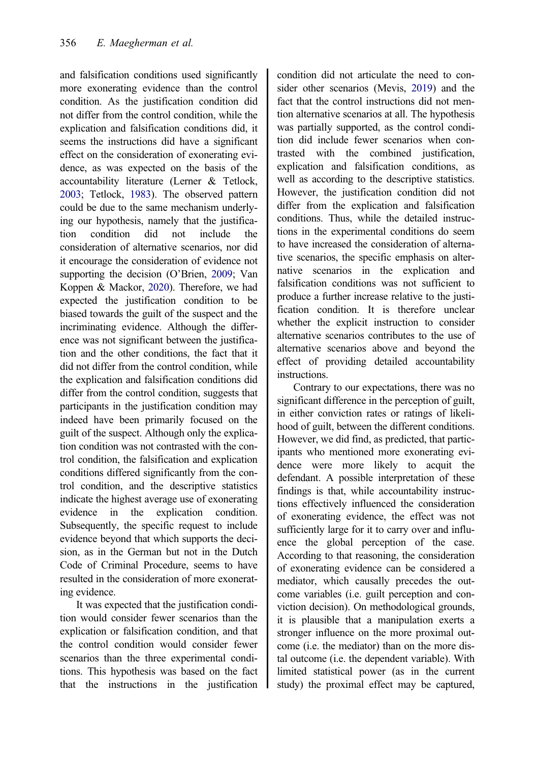and falsification conditions used significantly more exonerating evidence than the control condition. As the justification condition did not differ from the control condition, while the explication and falsification conditions did, it seems the instructions did have a significant effect on the consideration of exonerating evidence, as was expected on the basis of the accountability literature (Lerner & Tetlock, [2003;](#page-15-0) Tetlock, [1983](#page-16-0)). The observed pattern could be due to the same mechanism underlying our hypothesis, namely that the justification condition did not include the consideration of alternative scenarios, nor did it encourage the consideration of evidence not supporting the decision (O'Brien, [2009](#page-15-0); Van Koppen & Mackor, [2020](#page-16-0)). Therefore, we had expected the justification condition to be biased towards the guilt of the suspect and the incriminating evidence. Although the difference was not significant between the justification and the other conditions, the fact that it did not differ from the control condition, while the explication and falsification conditions did differ from the control condition, suggests that participants in the justification condition may indeed have been primarily focused on the guilt of the suspect. Although only the explication condition was not contrasted with the control condition, the falsification and explication conditions differed significantly from the control condition, and the descriptive statistics indicate the highest average use of exonerating evidence in the explication condition. Subsequently, the specific request to include evidence beyond that which supports the decision, as in the German but not in the Dutch Code of Criminal Procedure, seems to have resulted in the consideration of more exonerating evidence.

It was expected that the justification condition would consider fewer scenarios than the explication or falsification condition, and that the control condition would consider fewer scenarios than the three experimental conditions. This hypothesis was based on the fact that the instructions in the justification condition did not articulate the need to consider other scenarios (Mevis, [2019\)](#page-15-0) and the fact that the control instructions did not mention alternative scenarios at all. The hypothesis was partially supported, as the control condition did include fewer scenarios when contrasted with the combined justification, explication and falsification conditions, as well as according to the descriptive statistics. However, the justification condition did not differ from the explication and falsification conditions. Thus, while the detailed instructions in the experimental conditions do seem to have increased the consideration of alternative scenarios, the specific emphasis on alternative scenarios in the explication and falsification conditions was not sufficient to produce a further increase relative to the justification condition. It is therefore unclear whether the explicit instruction to consider alternative scenarios contributes to the use of alternative scenarios above and beyond the effect of providing detailed accountability instructions.

Contrary to our expectations, there was no significant difference in the perception of guilt, in either conviction rates or ratings of likelihood of guilt, between the different conditions. However, we did find, as predicted, that participants who mentioned more exonerating evidence were more likely to acquit the defendant. A possible interpretation of these findings is that, while accountability instructions effectively influenced the consideration of exonerating evidence, the effect was not sufficiently large for it to carry over and influence the global perception of the case. According to that reasoning, the consideration of exonerating evidence can be considered a mediator, which causally precedes the outcome variables (i.e. guilt perception and conviction decision). On methodological grounds, it is plausible that a manipulation exerts a stronger influence on the more proximal outcome (i.e. the mediator) than on the more distal outcome (i.e. the dependent variable). With limited statistical power (as in the current study) the proximal effect may be captured,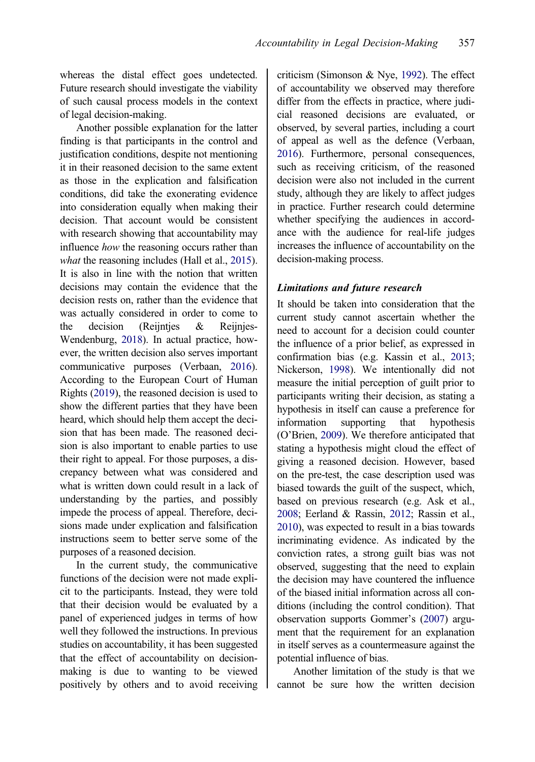<span id="page-12-0"></span>whereas the distal effect goes undetected. Future research should investigate the viability of such causal process models in the context of legal decision-making.

Another possible explanation for the latter finding is that participants in the control and justification conditions, despite not mentioning it in their reasoned decision to the same extent as those in the explication and falsification conditions, did take the exonerating evidence into consideration equally when making their decision. That account would be consistent with research showing that accountability may influence how the reasoning occurs rather than what the reasoning includes (Hall et al., [2015\)](#page-15-0). It is also in line with the notion that written decisions may contain the evidence that the decision rests on, rather than the evidence that was actually considered in order to come to the decision (Reijntjes & Reijnjes-Wendenburg, [2018](#page-15-0)). In actual practice, however, the written decision also serves important communicative purposes (Verbaan, [2016](#page-16-0)). According to the European Court of Human Rights [\(2019\)](#page-15-0), the reasoned decision is used to show the different parties that they have been heard, which should help them accept the decision that has been made. The reasoned decision is also important to enable parties to use their right to appeal. For those purposes, a discrepancy between what was considered and what is written down could result in a lack of understanding by the parties, and possibly impede the process of appeal. Therefore, decisions made under explication and falsification instructions seem to better serve some of the purposes of a reasoned decision.

In the current study, the communicative functions of the decision were not made explicit to the participants. Instead, they were told that their decision would be evaluated by a panel of experienced judges in terms of how well they followed the instructions. In previous studies on accountability, it has been suggested that the effect of accountability on decisionmaking is due to wanting to be viewed positively by others and to avoid receiving criticism (Simonson & Nye, [1992](#page-16-0)). The effect of accountability we observed may therefore differ from the effects in practice, where judicial reasoned decisions are evaluated, or observed, by several parties, including a court of appeal as well as the defence (Verbaan, [2016\)](#page-16-0). Furthermore, personal consequences, such as receiving criticism, of the reasoned decision were also not included in the current study, although they are likely to affect judges in practice. Further research could determine whether specifying the audiences in accordance with the audience for real-life judges increases the influence of accountability on the decision-making process.

### Limitations and future research

It should be taken into consideration that the current study cannot ascertain whether the need to account for a decision could counter the influence of a prior belief, as expressed in confirmation bias (e.g. Kassin et al., [2013](#page-15-0); Nickerson, [1998\)](#page-15-0). We intentionally did not measure the initial perception of guilt prior to participants writing their decision, as stating a hypothesis in itself can cause a preference for information supporting that hypothesis (O'Brien, [2009](#page-15-0)). We therefore anticipated that stating a hypothesis might cloud the effect of giving a reasoned decision. However, based on the pre-test, the case description used was biased towards the guilt of the suspect, which, based on previous research (e.g. Ask et al., [2008;](#page-14-0) Eerland & Rassin, [2012;](#page-15-0) Rassin et al., [2010\)](#page-15-0), was expected to result in a bias towards incriminating evidence. As indicated by the conviction rates, a strong guilt bias was not observed, suggesting that the need to explain the decision may have countered the influence of the biased initial information across all conditions (including the control condition). That observation supports Gommer's ([2007](#page-15-0)) argument that the requirement for an explanation in itself serves as a countermeasure against the potential influence of bias.

Another limitation of the study is that we cannot be sure how the written decision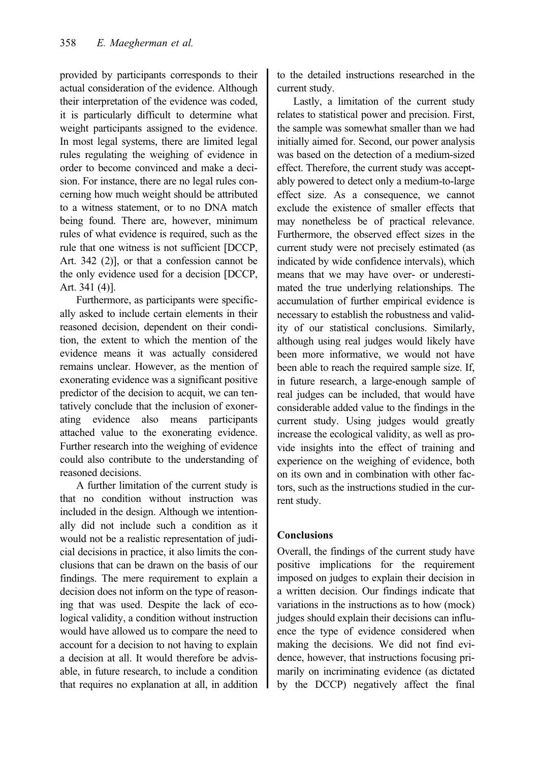provided by participants corresponds to their actual consideration of the evidence. Although their interpretation of the evidence was coded, it is particularly difficult to determine what weight participants assigned to the evidence. In most legal systems, there are limited legal rules regulating the weighing of evidence in order to become convinced and make a decision. For instance, there are no legal rules concerning how much weight should be attributed to a witness statement, or to no DNA match being found. There are, however, minimum rules of what evidence is required, such as the rule that one witness is not sufficient [DCCP, Art. 342 (2)], or that a confession cannot be the only evidence used for a decision [DCCP, Art. 341 (4)].

Furthermore, as participants were specifically asked to include certain elements in their reasoned decision, dependent on their condition, the extent to which the mention of the evidence means it was actually considered remains unclear. However, as the mention of exonerating evidence was a significant positive predictor of the decision to acquit, we can tentatively conclude that the inclusion of exonerating evidence also means participants attached value to the exonerating evidence. Further research into the weighing of evidence could also contribute to the understanding of reasoned decisions.

A further limitation of the current study is that no condition without instruction was included in the design. Although we intentionally did not include such a condition as it would not be a realistic representation of judicial decisions in practice, it also limits the conclusions that can be drawn on the basis of our findings. The mere requirement to explain a decision does not inform on the type of reasoning that was used. Despite the lack of ecological validity, a condition without instruction would have allowed us to compare the need to account for a decision to not having to explain a decision at all. It would therefore be advisable, in future research, to include a condition that requires no explanation at all, in addition to the detailed instructions researched in the current study.

Lastly, a limitation of the current study relates to statistical power and precision. First, the sample was somewhat smaller than we had initially aimed for. Second, our power analysis was based on the detection of a medium-sized effect. Therefore, the current study was acceptably powered to detect only a medium-to-large effect size. As a consequence, we cannot exclude the existence of smaller effects that may nonetheless be of practical relevance. Furthermore, the observed effect sizes in the current study were not precisely estimated (as indicated by wide confidence intervals), which means that we may have over- or underestimated the true underlying relationships. The accumulation of further empirical evidence is necessary to establish the robustness and validity of our statistical conclusions. Similarly, although using real judges would likely have been more informative, we would not have been able to reach the required sample size. If, in future research, a large-enough sample of real judges can be included, that would have considerable added value to the findings in the current study. Using judges would greatly increase the ecological validity, as well as provide insights into the effect of training and experience on the weighing of evidence, both on its own and in combination with other factors, such as the instructions studied in the current study.

# Conclusions

Overall, the findings of the current study have positive implications for the requirement imposed on judges to explain their decision in a written decision. Our findings indicate that variations in the instructions as to how (mock) judges should explain their decisions can influence the type of evidence considered when making the decisions. We did not find evidence, however, that instructions focusing primarily on incriminating evidence (as dictated by the DCCP) negatively affect the final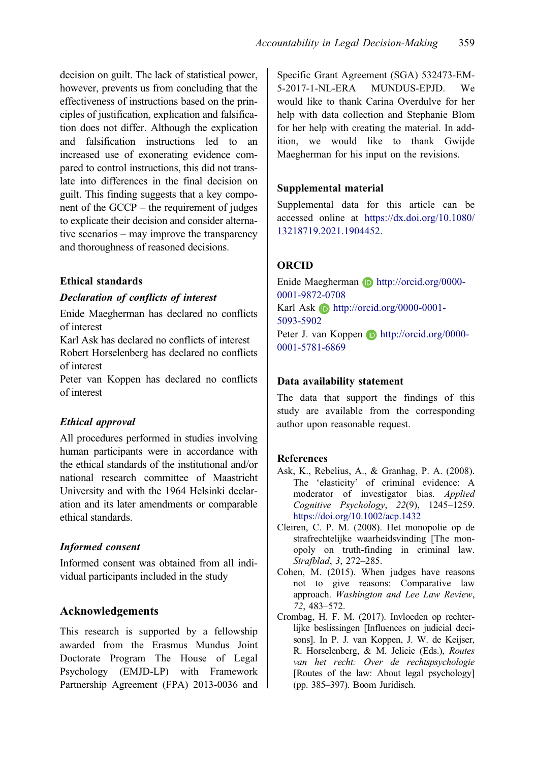<span id="page-14-0"></span>decision on guilt. The lack of statistical power, however, prevents us from concluding that the effectiveness of instructions based on the principles of justification, explication and falsification does not differ. Although the explication and falsification instructions led to an increased use of exonerating evidence compared to control instructions, this did not translate into differences in the final decision on guilt. This finding suggests that a key component of the GCCP – the requirement of judges to explicate their decision and consider alternative scenarios – may improve the transparency and thoroughness of reasoned decisions.

## Ethical standards

## Declaration of conflicts of interest

Enide Maegherman has declared no conflicts of interest

Karl Ask has declared no conflicts of interest Robert Horselenberg has declared no conflicts of interest

Peter van Koppen has declared no conflicts of interest

# Ethical approval

All procedures performed in studies involving human participants were in accordance with the ethical standards of the institutional and/or national research committee of Maastricht University and with the 1964 Helsinki declaration and its later amendments or comparable ethical standards.

# Informed consent

Informed consent was obtained from all individual participants included in the study

# Acknowledgements

This research is supported by a fellowship awarded from the Erasmus Mundus Joint Doctorate Program The House of Legal Psychology (EMJD-LP) with Framework Partnership Agreement (FPA) 2013-0036 and Specific Grant Agreement (SGA) 532473-EM-5-2017-1-NL-ERA MUNDUS-EPJD. We would like to thank Carina Overdulve for her help with data collection and Stephanie Blom for her help with creating the material. In addition, we would like to thank Gwijde Maegherman for his input on the revisions.

# Supplemental material

Supplemental data for this article can be accessed online at [https://dx.doi.org/10.1080/](https://dx.doi.org/10.1080/13218719.2021.1904452) [13218719.2021.1904452.](https://dx.doi.org/10.1080/13218719.2021.1904452)

# ORCID

Enide Maegherman **b** http://orcid.org/0000-0001-9872-0708 Karl Ask  $\Box$  http://orcid.org/0000-0001-5093-5902 Peter J. van Koppen **D** http://orcid.org/0000-0001-5781-6869

## Data availability statement

The data that support the findings of this study are available from the corresponding author upon reasonable request.

# References

- Ask, K., Rebelius, A., & Granhag, P. A. ([2008\)](#page-12-0). The 'elasticity' of criminal evidence: A moderator of investigator bias. Applied Cognitive Psychology, 22(9), 1245–1259. <https://doi.org/10.1002/acp.1432>
- Cleiren, C. P. M. [\(2008](#page-3-0)). Het monopolie op de strafrechtelijke waarheidsvinding [The monopoly on truth-finding in criminal law. Strafblad, 3, 272–285.
- Cohen, M. ([2015\)](#page-3-0). When judges have reasons not to give reasons: Comparative law approach. Washington and Lee Law Review, 72, 483–572.
- Crombag, H. F. M. ([2017](#page-1-0)). Invloeden op rechterlijke beslissingen [Influences on judicial decisons]. In P. J. van Koppen, J. W. de Keijser, R. Horselenberg, & M. Jelicic (Eds.), Routes van het recht: Over de rechtspsychologie [Routes of the law: About legal psychology] (pp. 385–397). Boom Juridisch.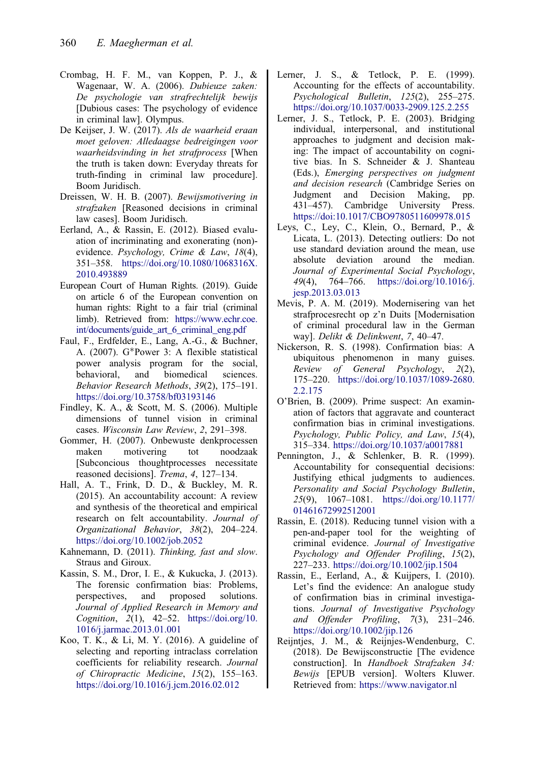- <span id="page-15-0"></span>Crombag, H. F. M., van Koppen, P. J., & Wagenaar, W. A. ([2006\)](#page-3-0). Dubieuze zaken: De psychologie van strafrechtelijk bewijs [Dubious cases: The psychology of evidence in criminal law]. Olympus.
- De Keijser, J. W. [\(2017\)](#page-3-0). Als de waarheid eraan moet geloven: Alledaagse bedreigingen voor waarheidsvinding in het strafprocess [When the truth is taken down: Everyday threats for truth-finding in criminal law procedure]. Boom Juridisch.
- Dreissen, W. H. B. [\(2007](#page-1-0)). Bewijsmotivering in strafzaken [Reasoned decisions in criminal law cases]. Boom Juridisch.
- Eerland, A., & Rassin, E. ([2012\)](#page-12-0). Biased evaluation of incriminating and exonerating (non) evidence. Psychology, Crime & Law, 18(4), 351–358. [https://doi.org/10.1080/1068316X.](https://doi.org/10.1080/1068316X.2010.493889) [2010.493889](https://doi.org/10.1080/1068316X.2010.493889)
- European Court of Human Rights. ([2019](#page-12-0)). Guide on article 6 of the European convention on human rights: Right to a fair trial (criminal limb). Retrieved from: [https://www.echr.coe.](https://www.echr.coe.int/documents/guide_art_6_criminal_eng.pdf) [int/documents/guide\\_art\\_6\\_criminal\\_eng.pdf](https://www.echr.coe.int/documents/guide_art_6_criminal_eng.pdf)
- Faul, F., Erdfelder, E., Lang, A.-G., & Buchner, A. ([2007\)](#page-4-0). G\*Power 3: A flexible statistical power analysis program for the social, behavioral, and biomedical sciences. Behavior Research Methods, 39(2), 175–191. <https://doi.org/10.3758/bf03193146>
- Findley, K. A., & Scott, M. S. ([2006\)](#page-3-0). Multiple dimensions of tunnel vision in criminal cases. Wisconsin Law Review, 2, 291–398.
- Gommer, H. [\(2007](#page-1-0)). Onbewuste denkprocessen maken motivering tot noodzaak [Subconcious thoughtprocesses necessitate reasoned decisions]. Trema, 4, 127–134.
- Hall, A. T., Frink, D. D., & Buckley, M. R. [\(2015](#page-2-0)). An accountability account: A review and synthesis of the theoretical and empirical research on felt accountability. Journal of Organizational Behavior, 38(2), 204–224. <https://doi.org/10.1002/job.2052>
- Kahnemann, D. [\(2011](#page-3-0)). Thinking, fast and slow. Straus and Giroux.
- Kassin, S. M., Dror, I. E., & Kukucka, J. [\(2013](#page-12-0)). The forensic confirmation bias: Problems, perspectives, and proposed solutions. Journal of Applied Research in Memory and Cognition,  $2(1)$ ,  $42-52$ . [https://doi.org/10.](https://doi.org/10.1016/j.jarmac.2013.01.001) [1016/j.jarmac.2013.01.001](https://doi.org/10.1016/j.jarmac.2013.01.001)
- Koo, T. K., & Li, M. Y. [\(2016](#page-8-0)). A guideline of selecting and reporting intraclass correlation coefficients for reliability research. Journal of Chiropractic Medicine, 15(2), 155–163. <https://doi.org/10.1016/j.jcm.2016.02.012>
- Lerner, J. S., & Tetlock, P. E. ([1999\)](#page-2-0). Accounting for the effects of accountability. Psychological Bulletin, 125(2), 255–275. <https://doi.org/10.1037/0033-2909.125.2.255>
- Lerner, J. S., Tetlock, P. E. [\(2003](#page-0-0)). Bridging individual, interpersonal, and institutional approaches to judgment and decision making: The impact of accountability on cognitive bias. In S. Schneider & J. Shanteau (Eds.), Emerging perspectives on judgment and decision research (Cambridge Series on Judgment and Decision Making, pp. 431–457). Cambridge University Press. <https://doi:10.1017/CBO9780511609978.015>
- Leys, C., Ley, C., Klein, O., Bernard, P., & Licata, L. [\(2013](#page-5-0)). Detecting outliers: Do not use standard deviation around the mean, use absolute deviation around the median. Journal of Experimental Social Psychology, 49(4), 764–766. [https://doi.org/10.1016/j.](https://doi.org/10.1016/j.jesp.2013.03.013) [jesp.2013.03.013](https://doi.org/10.1016/j.jesp.2013.03.013)
- Mevis, P. A. M. ([2019\)](#page-0-0). Modernisering van het strafprocesrecht op z'n Duits [Modernisation of criminal procedural law in the German way]. Delikt & Delinkwent, 7, 40–47.
- Nickerson, R. S. [\(1998](#page-3-0)). Confirmation bias: A ubiquitous phenomenon in many guises. Review of General Psychology, 2(2), 175–220. [https://doi.org/10.1037/1089-2680.](https://doi.org/10.1037/1089-2680.2.2.175) [2.2.175](https://doi.org/10.1037/1089-2680.2.2.175)
- O'Brien, B. ([2009\)](#page-3-0). Prime suspect: An examination of factors that aggravate and counteract confirmation bias in criminal investigations. Psychology, Public Policy, and Law, 15(4), 315–334. <https://doi.org/10.1037/a0017881>
- Pennington, J., & Schlenker, B. R. ([1999\)](#page-2-0). Accountability for consequential decisions: Justifying ethical judgments to audiences. Personality and Social Psychology Bulletin, 25(9), 1067–1081. [https://doi.org/10.1177/](https://doi.org/10.1177/01461672992512001) [01461672992512001](https://doi.org/10.1177/01461672992512001)
- Rassin, E. [\(2018](#page-3-0)). Reducing tunnel vision with a pen-and-paper tool for the weighting of criminal evidence. Journal of Investigative Psychology and Offender Profiling, 15(2), 227–233. <https://doi.org/10.1002/jip.1504>
- Rassin, E., Eerland, A., & Kuijpers, I. ([2010\)](#page-12-0). Let's find the evidence: An analogue study of confirmation bias in criminal investigations. Journal of Investigative Psychology and Offender Profiling, 7(3), 231–246. <https://doi.org/10.1002/jip.126>
- Reijntjes, J. M., & Reijnjes-Wendenburg, C. ([2018\)](#page-2-0). De Bewijsconstructie [The evidence construction]. In Handboek Strafzaken 34: Bewijs [EPUB version]. Wolters Kluwer. Retrieved from: <https://www.navigator.nl>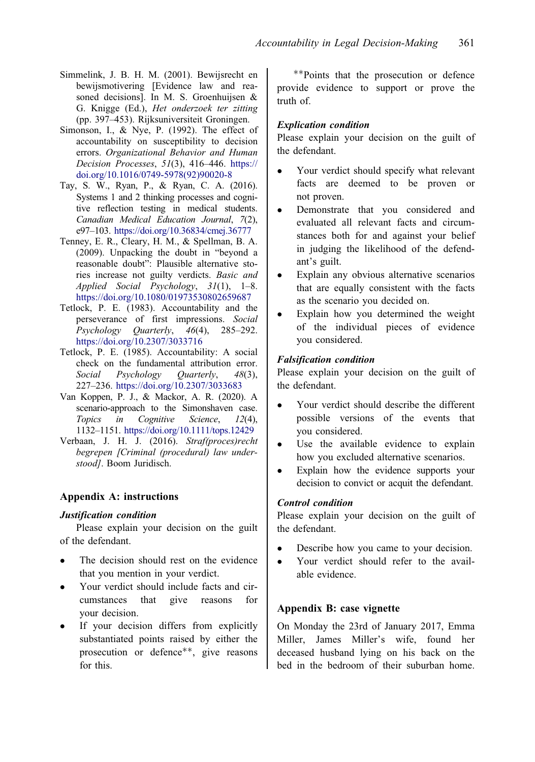- <span id="page-16-0"></span>Simmelink, J. B. H. M. [\(2001](#page-1-0)). Bewijsrecht en bewijsmotivering [Evidence law and reasoned decisions]. In M. S. Groenhuijsen & G. Knigge (Ed.), Het onderzoek ter zitting (pp. 397–453). Rijksuniversiteit Groningen.
- Simonson, I., & Nye, P. ([1992\)](#page-12-0). The effect of accountability on susceptibility to decision errors. Organizational Behavior and Human Decision Processes, 51(3), 416–446. [https://](https://doi.org/10.1016/0749-5978(92)90020-8) [doi.org/10.1016/0749-5978\(92\)90020-8](https://doi.org/10.1016/0749-5978(92)90020-8)
- Tay, S. W., Ryan, P., & Ryan, C. A. [\(2016\)](#page-3-0). Systems 1 and 2 thinking processes and cognitive reflection testing in medical students. Canadian Medical Education Journal, 7(2), e97–103. <https://doi.org/10.36834/cmej.36777>
- Tenney, E. R., Cleary, H. M., & Spellman, B. A. [\(2009](#page-4-0)). Unpacking the doubt in "beyond a reasonable doubt": Plausible alternative stories increase not guilty verdicts. Basic and Applied Social Psychology, 31(1), 1–8. <https://doi.org/10.1080/01973530802659687>
- Tetlock, P. E. [\(1983](#page-2-0)). Accountability and the perseverance of first impressions. Social Psychology Quarterly, 46(4), 285–292. <https://doi.org/10.2307/3033716>
- Tetlock, P. E. [\(1985](#page-2-0)). Accountability: A social check on the fundamental attribution error.<br>Social Psychology Quarterly, 48(3), Social Psychology Quarterly, 227–236. <https://doi.org/10.2307/3033683>
- Van Koppen, P. J., & Mackor, A. R. [\(2020\)](#page-3-0). A scenario-approach to the Simonshaven case. Topics in Cognitive Science, 12(4), 1132–1151. <https://doi.org/10.1111/tops.12429>
- Verbaan, J. H. J. [\(2016](#page-1-0)). Straf(proces)recht begrepen [Criminal (procedural) law understood]. Boom Juridisch.

### Appendix A: instructions

### Justification condition

Please explain your decision on the guilt of the defendant.

- The decision should rest on the evidence that you mention in your verdict.
- Your verdict should include facts and cir-<br>cumstances that give reasons for give reasons your decision.
- If your decision differs from explicitly substantiated points raised by either the prosecution or defence\*\*, give reasons for this.

--Points that the prosecution or defence provide evidence to support or prove the truth of.

### Explication condition

Please explain your decision on the guilt of the defendant.

- Your verdict should specify what relevant facts are deemed to be proven or not proven.
- Demonstrate that you considered and evaluated all relevant facts and circumstances both for and against your belief in judging the likelihood of the defendant's guilt.
- Explain any obvious alternative scenarios that are equally consistent with the facts as the scenario you decided on.
- Explain how you determined the weight of the individual pieces of evidence you considered.

### Falsification condition

Please explain your decision on the guilt of the defendant.

- Your verdict should describe the different possible versions of the events that you considered.
- Use the available evidence to explain how you excluded alternative scenarios.
- Explain how the evidence supports your decision to convict or acquit the defendant.

### Control condition

Please explain your decision on the guilt of the defendant.

- Describe how you came to your decision.
- Your verdict should refer to the available evidence.

## Appendix B: case vignette

On Monday the 23rd of January 2017, Emma Miller, James Miller's wife, found her deceased husband lying on his back on the bed in the bedroom of their suburban home.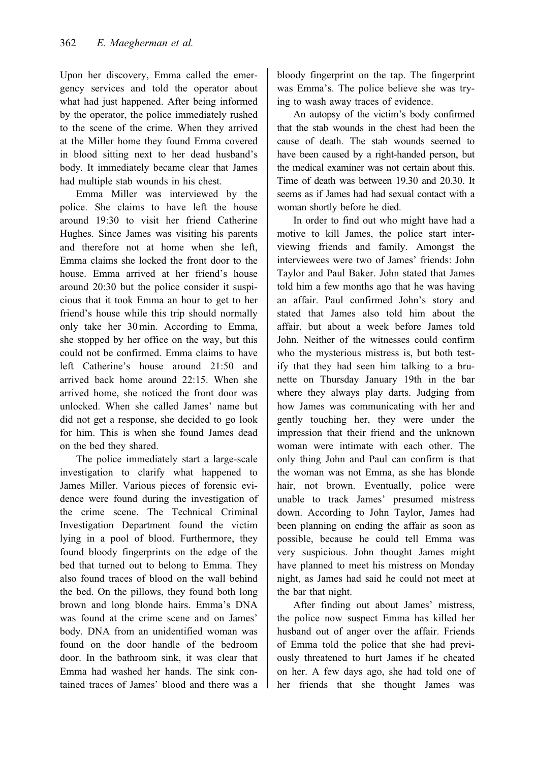Upon her discovery, Emma called the emergency services and told the operator about what had just happened. After being informed by the operator, the police immediately rushed to the scene of the crime. When they arrived at the Miller home they found Emma covered in blood sitting next to her dead husband's body. It immediately became clear that James had multiple stab wounds in his chest.

Emma Miller was interviewed by the police. She claims to have left the house around 19:30 to visit her friend Catherine Hughes. Since James was visiting his parents and therefore not at home when she left, Emma claims she locked the front door to the house. Emma arrived at her friend's house around 20:30 but the police consider it suspicious that it took Emma an hour to get to her friend's house while this trip should normally only take her 30 min. According to Emma, she stopped by her office on the way, but this could not be confirmed. Emma claims to have left Catherine's house around 21:50 and arrived back home around 22:15. When she arrived home, she noticed the front door was unlocked. When she called James' name but did not get a response, she decided to go look for him. This is when she found James dead on the bed they shared.

The police immediately start a large-scale investigation to clarify what happened to James Miller. Various pieces of forensic evidence were found during the investigation of the crime scene. The Technical Criminal Investigation Department found the victim lying in a pool of blood. Furthermore, they found bloody fingerprints on the edge of the bed that turned out to belong to Emma. They also found traces of blood on the wall behind the bed. On the pillows, they found both long brown and long blonde hairs. Emma's DNA was found at the crime scene and on James' body. DNA from an unidentified woman was found on the door handle of the bedroom door. In the bathroom sink, it was clear that Emma had washed her hands. The sink contained traces of James' blood and there was a

bloody fingerprint on the tap. The fingerprint was Emma's. The police believe she was trying to wash away traces of evidence.

An autopsy of the victim's body confirmed that the stab wounds in the chest had been the cause of death. The stab wounds seemed to have been caused by a right-handed person, but the medical examiner was not certain about this. Time of death was between 19.30 and 20.30. It seems as if James had had sexual contact with a woman shortly before he died.

In order to find out who might have had a motive to kill James, the police start interviewing friends and family. Amongst the interviewees were two of James' friends: John Taylor and Paul Baker. John stated that James told him a few months ago that he was having an affair. Paul confirmed John's story and stated that James also told him about the affair, but about a week before James told John. Neither of the witnesses could confirm who the mysterious mistress is, but both testify that they had seen him talking to a brunette on Thursday January 19th in the bar where they always play darts. Judging from how James was communicating with her and gently touching her, they were under the impression that their friend and the unknown woman were intimate with each other. The only thing John and Paul can confirm is that the woman was not Emma, as she has blonde hair, not brown. Eventually, police were unable to track James' presumed mistress down. According to John Taylor, James had been planning on ending the affair as soon as possible, because he could tell Emma was very suspicious. John thought James might have planned to meet his mistress on Monday night, as James had said he could not meet at the bar that night.

After finding out about James' mistress, the police now suspect Emma has killed her husband out of anger over the affair. Friends of Emma told the police that she had previously threatened to hurt James if he cheated on her. A few days ago, she had told one of her friends that she thought James was